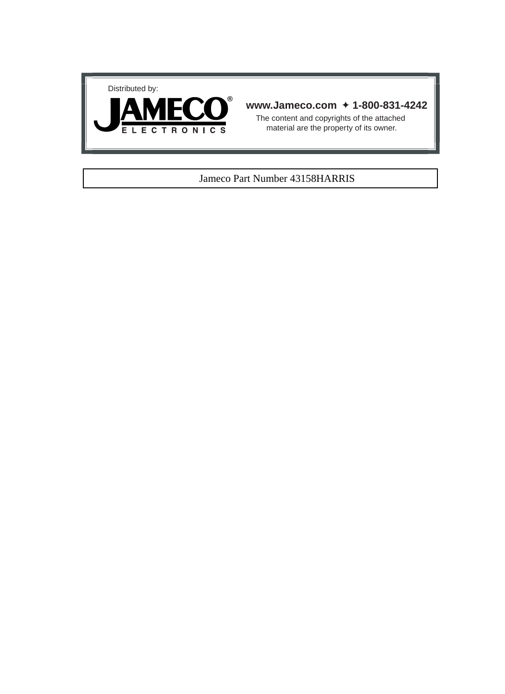



## **www.Jameco.com** ✦ **1-800-831-4242**

The content and copyrights of the attached material are the property of its owner.

#### Jameco Part Number 43158HARRIS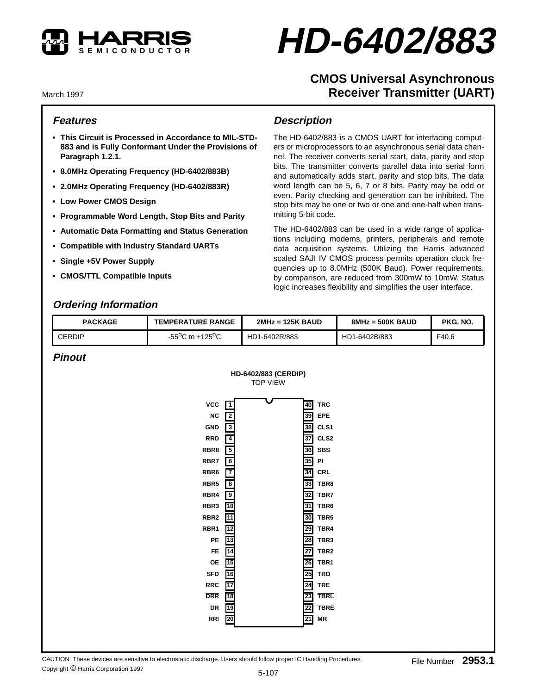

# **HD-6402/883**

# **CMOS Universal Asynchronous Receiver Transmitter (UART)**

March 1997

## **Features**

- **This Circuit is Processed in Accordance to MIL-STD-883 and is Fully Conformant Under the Provisions of Paragraph 1.2.1.**
- **8.0MHz Operating Frequency (HD-6402/883B)**
- **2.0MHz Operating Frequency (HD-6402/883R)**
- **Low Power CMOS Design**
- **Programmable Word Length, Stop Bits and Parity**
- **Automatic Data Formatting and Status Generation**
- **Compatible with Industry Standard UARTs**
- **Single +5V Power Supply**
- **CMOS/TTL Compatible Inputs**

## **Ordering Information**

## **Description**

The HD-6402/883 is a CMOS UART for interfacing computers or microprocessors to an asynchronous serial data channel. The receiver converts serial start, data, parity and stop bits. The transmitter converts parallel data into serial form and automatically adds start, parity and stop bits. The data word length can be 5, 6, 7 or 8 bits. Parity may be odd or even. Parity checking and generation can be inhibited. The stop bits may be one or two or one and one-half when transmitting 5-bit code.

The HD-6402/883 can be used in a wide range of applications including modems, printers, peripherals and remote data acquisition systems. Utilizing the Harris advanced scaled SAJI IV CMOS process permits operation clock frequencies up to 8.0MHz (500K Baud). Power requirements, by comparison, are reduced from 300mW to 10mW. Status logic increases flexibility and simplifies the user interface.

| <b>PACKAGE</b>                                                   | <b>TEMPERATURE RANGE</b>            | $2MHz = 125K$ BAUD | $8MHz = 500K$ BAUD | PKG. NO. |
|------------------------------------------------------------------|-------------------------------------|--------------------|--------------------|----------|
| CERDIP                                                           | $-55^{\circ}$ C to $+125^{\circ}$ C | HD1-6402R/883      | HD1-6402B/883      | F40.6    |
| $\mathbf{D}$ $\mathbf{L}$ $\mathbf{L}$ $\mathbf{L}$ $\mathbf{L}$ |                                     |                    |                    |          |

### **Pinout**

|                                                                                                                                                                                                          | HD-6402/883 (CERDIP)<br><b>TOP VIEW</b>                                                                                                                                                                                  |                                                                                                                                                                                                                                                                                                                                                   |
|----------------------------------------------------------------------------------------------------------------------------------------------------------------------------------------------------------|--------------------------------------------------------------------------------------------------------------------------------------------------------------------------------------------------------------------------|---------------------------------------------------------------------------------------------------------------------------------------------------------------------------------------------------------------------------------------------------------------------------------------------------------------------------------------------------|
| VCC<br>NC<br><b>GND</b><br><b>RRD</b><br>RBR8<br>RBR7<br>RBR6<br>RBR5<br>RBR4<br>RBR3<br>RBR <sub>2</sub><br>RBR1<br>PE<br><b>FE</b><br>OE<br><b>SFD</b><br><b>RRC</b><br><b>DRR</b><br>DR<br><b>RRI</b> | $\overline{1}$<br>$\overline{2}$<br>$\overline{\mathbf{3}}$<br>$\overline{4}$<br>5<br>$\overline{6}$<br>7<br>$\overline{\mathbf{8}}$<br>$\overline{9}$<br>10<br>11<br>12<br>13<br>14<br>15<br>16<br>17<br>18<br>19<br>20 | 40<br><b>TRC</b><br>39<br>EPE<br>38<br>CLS1<br>37<br>CLS <sub>2</sub><br>36<br>SBS<br>35<br>PI<br>34<br>CRL<br>33<br>TBR8<br>32<br>TBR7<br>31<br>TBR6<br>30<br>TBR <sub>5</sub><br>29<br>TBR4<br>28<br>TBR3<br>27<br>TBR <sub>2</sub><br>26<br>TBR1<br>25<br><b>TRO</b><br>24<br><b>TRE</b><br><b>TBRL</b><br>23<br><b>TBRE</b><br>22<br>MR<br>21 |
|                                                                                                                                                                                                          |                                                                                                                                                                                                                          |                                                                                                                                                                                                                                                                                                                                                   |

CAUTION: These devices are sensitive to electrostatic discharge. Users should follow proper IC Handling Procedures. Copyright © Harris Corporation 1997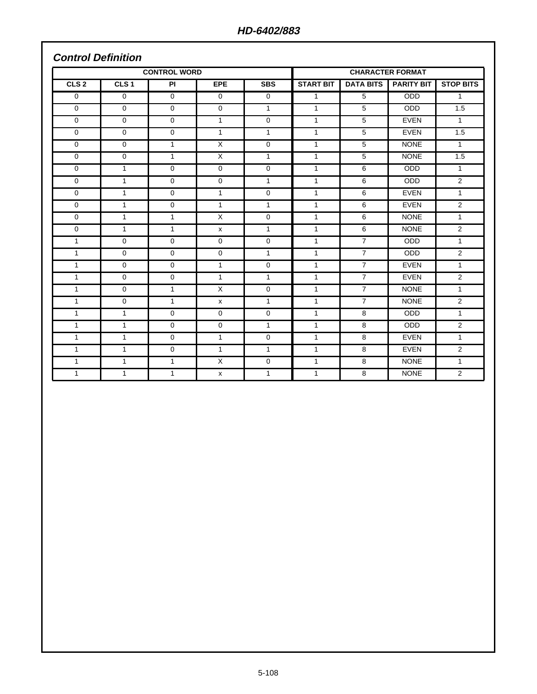## **Control Definition**

| <b>CONTROL WORD</b> |                  |              |              |              | <b>CHARACTER FORMAT</b> |                    |                   |                  |
|---------------------|------------------|--------------|--------------|--------------|-------------------------|--------------------|-------------------|------------------|
| CLS <sub>2</sub>    | CLS <sub>1</sub> | <b>PI</b>    | EPE          | <b>SBS</b>   | <b>START BIT</b>        | <b>DATA BITS</b> I | <b>PARITY BIT</b> | <b>STOP BITS</b> |
| $\mathbf 0$         | $\Omega$         | $\mathbf 0$  | $\Omega$     | $\mathbf 0$  | $\mathbf{1}$            | 5                  | <b>ODD</b>        | $\mathbf{1}$     |
| $\mathbf 0$         | $\mathbf 0$      | $\mathbf 0$  | $\mathbf 0$  | $\mathbf{1}$ | $\mathbf{1}$            | 5                  | <b>ODD</b>        | 1.5              |
| $\mathbf 0$         | $\mathbf 0$      | $\mathbf 0$  | $\mathbf{1}$ | $\mathbf 0$  | $\mathbf{1}$            | 5                  | <b>EVEN</b>       | $\mathbf{1}$     |
| $\mathbf 0$         | $\Omega$         | $\mathbf 0$  | $\mathbf{1}$ | $\mathbf{1}$ | $\mathbf{1}$            | 5                  | <b>EVEN</b>       | 1.5              |
| $\mathbf 0$         | $\mathbf 0$      | $\mathbf{1}$ | $\sf X$      | $\mathbf 0$  | $\mathbf{1}$            | 5                  | <b>NONE</b>       | $\mathbf{1}$     |
| $\mathbf 0$         | $\mathbf 0$      | $\mathbf{1}$ | X            | $\mathbf{1}$ | 1                       | 5                  | <b>NONE</b>       | 1.5              |
| $\mathbf 0$         | $\mathbf{1}$     | 0            | 0            | 0            | 1                       | 6                  | <b>ODD</b>        | $\mathbf{1}$     |
| $\mathbf 0$         | $\mathbf{1}$     | $\mathbf 0$  | $\Omega$     | $\mathbf{1}$ | $\mathbf{1}$            | 6                  | <b>ODD</b>        | $\overline{2}$   |
| $\mathbf 0$         | $\mathbf{1}$     | $\mathbf{0}$ | $\mathbf{1}$ | $\mathbf 0$  | $\mathbf{1}$            | 6                  | <b>EVEN</b>       | $\mathbf{1}$     |
| $\mathbf 0$         | $\mathbf{1}$     | 0            | $\mathbf{1}$ | $\mathbf{1}$ | $\mathbf{1}$            | 6                  | <b>EVEN</b>       | $\overline{2}$   |
| $\mathbf 0$         | $\mathbf{1}$     | $\mathbf{1}$ | $\times$     | 0            | 1                       | 6                  | <b>NONE</b>       | $\mathbf{1}$     |
| $\Omega$            | $\mathbf{1}$     | $\mathbf{1}$ | X            | $\mathbf{1}$ | $\mathbf{1}$            | 6                  | <b>NONE</b>       | 2                |
| $\mathbf{1}$        | $\mathbf 0$      | 0            | 0            | $\mathbf 0$  | $\mathbf{1}$            | $\overline{7}$     | <b>ODD</b>        | $\mathbf{1}$     |
| 1                   | $\mathbf 0$      | $\mathbf 0$  | $\mathbf 0$  | $\mathbf{1}$ | $\mathbf{1}$            | $\overline{7}$     | <b>ODD</b>        | $\overline{2}$   |
| $\mathbf{1}$        | $\Omega$         | $\Omega$     | $\mathbf{1}$ | $\Omega$     | $\mathbf{1}$            | $\overline{7}$     | <b>EVEN</b>       | $\mathbf{1}$     |
| $\mathbf{1}$        | $\Omega$         | $\Omega$     | $\mathbf{1}$ | $\mathbf{1}$ | $\mathbf{1}$            | $\overline{7}$     | <b>EVEN</b>       | 2                |
| 1                   | $\mathbf 0$      | $\mathbf{1}$ | $\times$     | $\mathbf 0$  | $\mathbf{1}$            | $\overline{7}$     | <b>NONE</b>       | $\mathbf{1}$     |
| 1                   | $\mathbf 0$      | $\mathbf{1}$ | X            | $\mathbf{1}$ | 1                       | $\overline{7}$     | <b>NONE</b>       | 2                |
| 1                   | 1                | $\mathbf 0$  | 0            | 0            | 1                       | 8                  | <b>ODD</b>        | $\mathbf{1}$     |
| 1                   | 1                | $\Omega$     | $\Omega$     | $\mathbf{1}$ | $\mathbf{1}$            | 8                  | <b>ODD</b>        | $\overline{2}$   |
| $\mathbf{1}$        | $\mathbf{1}$     | $\mathbf{0}$ | $\mathbf{1}$ | $\mathbf 0$  | $\mathbf{1}$            | 8                  | <b>EVEN</b>       | $\mathbf{1}$     |
| $\mathbf{1}$        | 1                | $\mathbf 0$  | $\mathbf{1}$ | $\mathbf{1}$ | $\mathbf{1}$            | 8                  | <b>EVEN</b>       | $\overline{2}$   |
| 1                   | $\mathbf{1}$     | $\mathbf{1}$ | $\times$     | 0            | 1                       | 8                  | <b>NONE</b>       | $\mathbf{1}$     |
| $\mathbf{1}$        | $\mathbf{1}$     | $\mathbf{1}$ | $\mathsf{x}$ | $\mathbf{1}$ | $\mathbf{1}$            | 8                  | <b>NONE</b>       | 2                |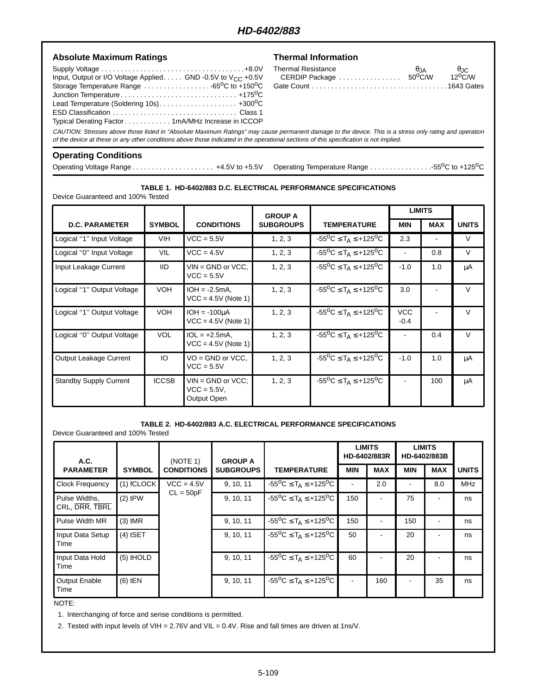## **HD-6402/883**

| <b>Absolute Maximum Ratings</b>                                                                                                                                                                                                                                                                         | <b>Thermal Information</b>                          |             |                                 |
|---------------------------------------------------------------------------------------------------------------------------------------------------------------------------------------------------------------------------------------------------------------------------------------------------------|-----------------------------------------------------|-------------|---------------------------------|
| Input, Output or I/O Voltage Applied. GND -0.5V to V <sub>CC</sub> +0.5V<br>Storage Temperature Range $\ldots \ldots \ldots \ldots \ldots \ldots$ -65 <sup>o</sup> C to +150 <sup>o</sup> C<br>Lead Temperature (Soldering 10s) +300 <sup>o</sup> C<br>Typical Derating Factor1mA/MHz Increase in ICCOP | <b>Thermal Resistance</b><br>CERDIP Package  50°C/W | $\theta$ JA | $\theta$ JC<br>$12^{\circ}$ C/W |
| CAUTION: Stresses above those listed in "Absolute Maximum Ratings" may cause permanent damage to the device. This is a stress only rating and operation<br>of the device at these or any other conditions above those indicated in the operational sections of this specification is not implied.       |                                                     |             |                                 |
| <b>Operating Conditions</b>                                                                                                                                                                                                                                                                             |                                                     |             |                                 |

## **Operating Conditions**

Operating Voltage Range . . . . . . . . . . . . . . . . . . . . . +4.5V to +5.5V Operating Temperature Range . . . . . . . . . . . . . . . .-55oC to +125oC

#### **TABLE 1. HD-6402/883 D.C. ELECTRICAL PERFORMANCE SPECIFICATIONS**

Device Guaranteed and 100% Tested

|                               |               |                                                       | <b>GROUP A</b>   |                                            | <b>LIMITS</b>        |            |              |
|-------------------------------|---------------|-------------------------------------------------------|------------------|--------------------------------------------|----------------------|------------|--------------|
| <b>D.C. PARAMETER</b>         | <b>SYMBOL</b> | <b>CONDITIONS</b>                                     | <b>SUBGROUPS</b> | <b>TEMPERATURE</b>                         | <b>MIN</b>           | <b>MAX</b> | <b>UNITS</b> |
| Logical "1" Input Voltage     | <b>VIH</b>    | $VCC = 5.5V$                                          | 1, 2, 3          | $-55^{\circ}C \leq T_A \leq +125^{\circ}C$ | 2.3                  |            | $\vee$       |
| Logical "0" Input Voltage     | <b>VIL</b>    | $VCC = 4.5V$                                          | 1, 2, 3          | $-55^{\circ}C \leq T_A \leq +125^{\circ}C$ |                      | 0.8        | $\vee$       |
| Input Leakage Current         | <b>IID</b>    | $VIN = GND$ or $VCC$ ,<br>$VCC = 5.5V$                | 1, 2, 3          | $-55^{\circ}C \leq T_A \leq +125^{\circ}C$ | $-1.0$               | 1.0        | μA           |
| Logical "1" Output Voltage    | <b>VOH</b>    | $IOH = -2.5mA$ ,<br>$VCC = 4.5V$ (Note 1)             | 1, 2, 3          | $-55^{\circ}C \leq T_A \leq +125^{\circ}C$ | 3.0                  |            | $\vee$       |
| Logical "1" Output Voltage    | <b>VOH</b>    | $IOH = -100uA$<br>$VCC = 4.5V$ (Note 1)               | 1, 2, 3          | $-55^{\circ}C \leq T_A \leq +125^{\circ}C$ | <b>VCC</b><br>$-0.4$ |            | V            |
| Logical "0" Output Voltage    | <b>VOL</b>    | $1OL = +2.5mA$<br>$VCC = 4.5V$ (Note 1)               | 1, 2, 3          | $-55^{\circ}C \leq T_A \leq +125^{\circ}C$ |                      | 0.4        | $\vee$       |
| Output Leakage Current        | IO            | $VO = GND$ or $VCC$ .<br>$VCC = 5.5V$                 | 1, 2, 3          | $-55^{\circ}C \leq T_A \leq +125^{\circ}C$ | $-1.0$               | 1.0        | μA           |
| <b>Standby Supply Current</b> | <b>ICCSB</b>  | $VIN = GND$ or $VCC$ :<br>$VCC = 5.5V$<br>Output Open | 1, 2, 3          | $-55^{\circ}C \leq T_A \leq +125^{\circ}C$ |                      | 100        | μA           |

#### **TABLE 2. HD-6402/883 A.C. ELECTRICAL PERFORMANCE SPECIFICATIONS**

Device Guaranteed and 100% Tested

| A.C.                            |               | (NOTE 1)          | <b>GROUP A</b>   |                                                                  |            | <b>LIMITS</b><br>HD-6402/883R |            | <b>LIMITS</b><br>HD-6402/883B |              |
|---------------------------------|---------------|-------------------|------------------|------------------------------------------------------------------|------------|-------------------------------|------------|-------------------------------|--------------|
| <b>PARAMETER</b>                | <b>SYMBOL</b> | <b>CONDITIONS</b> | <b>SUBGROUPS</b> | <b>TEMPERATURE</b>                                               | <b>MIN</b> | <b>MAX</b>                    | <b>MIN</b> | <b>MAX</b>                    | <b>UNITS</b> |
| <b>Clock Frequency</b>          | $(1)$ fCLOCK  | $VCC = 4.5V$      | 9, 10, 11        | $-55^{\circ}$ C $\leq$ T <sub>A</sub> $\leq$ +125 <sup>o</sup> C | ٠          | 2.0                           | ۰          | 8.0                           | <b>MHz</b>   |
| Pulse Widths,<br>CRL, DRR, TBRL | $(2)$ tPW     | $CL = 50pF$       | 9, 10, 11        | $-55^{\circ}$ C $\leq$ T <sub>A</sub> $\leq$ +125 <sup>o</sup> C | 150        |                               | 75         |                               | ns           |
| Pulse Width MR                  | $(3)$ tMR     |                   | 9, 10, 11        | $-55^{\circ}$ C $\leq$ T <sub>A</sub> $\leq$ +125 <sup>o</sup> C | 150        |                               | 150        |                               | ns           |
| Input Data Setup<br>Time        | $(4)$ tSET    |                   | 9, 10, 11        | $-55^{\circ}$ C $\leq$ T <sub>A</sub> $\leq$ +125 <sup>o</sup> C | 50         |                               | 20         |                               | ns           |
| Input Data Hold<br>Time         | $(5)$ tHOLD   |                   | 9, 10, 11        | $-55^{\circ}$ C $\leq$ T <sub>A</sub> $\leq$ +125 <sup>o</sup> C | 60         |                               | 20         |                               | ns           |
| <b>Output Enable</b><br>Time    | $(6)$ tEN     |                   | 9, 10, 11        | $-55^{\circ}$ C $\leq$ T <sub>A</sub> $\leq$ +125 <sup>o</sup> C |            | 160                           |            | 35                            | ns           |

NOTE:

1. Interchanging of force and sense conditions is permitted.

2. Tested with input levels of VIH = 2.76V and VIL = 0.4V. Rise and fall times are driven at 1ns/V.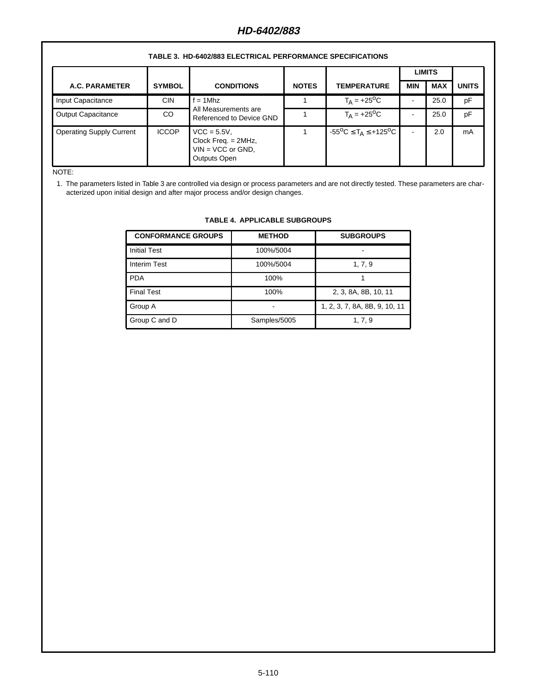| IADLL J. IID-VIVLIVIJ LLLVIINOAL I LNI ONIIANOL OI LOII IVAIIONO |               |                                                                                 |              |                                            |            |            |              |
|------------------------------------------------------------------|---------------|---------------------------------------------------------------------------------|--------------|--------------------------------------------|------------|------------|--------------|
|                                                                  |               |                                                                                 |              | <b>LIMITS</b>                              |            |            |              |
| A.C. PARAMETER                                                   | <b>SYMBOL</b> | <b>CONDITIONS</b>                                                               | <b>NOTES</b> | <b>TEMPERATURE</b>                         | <b>MIN</b> | <b>MAX</b> | <b>UNITS</b> |
| Input Capacitance                                                | <b>CIN</b>    | $f = 1$ Mhz                                                                     |              | $T_A = +25$ <sup>o</sup> C                 |            | 25.0       | pF           |
| <b>Output Capacitance</b>                                        | CO.           | All Measurements are<br>Referenced to Device GND                                |              | $T_A = +25$ <sup>o</sup> C                 |            | 25.0       | pF           |
| <b>Operating Supply Current</b>                                  | <b>ICCOP</b>  | $VCC = 5.5V$ ,<br>Clock Freq. = 2MHz,<br>$VIN = VCC$ or $GND$ ,<br>Outputs Open |              | $-55^{\circ}C \leq T_A \leq +125^{\circ}C$ | ٠          | 2.0        | mA           |

### **TABLE 3. HD-6402/883 ELECTRICAL PERFORMANCE SPECIFICATIONS**

NOTE:

1. The parameters listed in Table 3 are controlled via design or process parameters and are not directly tested. These parameters are characterized upon initial design and after major process and/or design changes.

| <b>CONFORMANCE GROUPS</b> | <b>METHOD</b> | <b>SUBGROUPS</b>              |
|---------------------------|---------------|-------------------------------|
| <b>Initial Test</b>       | 100%/5004     |                               |
| <b>Interim Test</b>       | 100%/5004     | 1, 7, 9                       |
| <b>PDA</b>                | 100%          |                               |
| <b>Final Test</b>         | 100%          | 2, 3, 8A, 8B, 10, 11          |
| Group A                   |               | 1, 2, 3, 7, 8A, 8B, 9, 10, 11 |
| Group C and D             | Samples/5005  | 1, 7, 9                       |

#### **TABLE 4. APPLICABLE SUBGROUPS**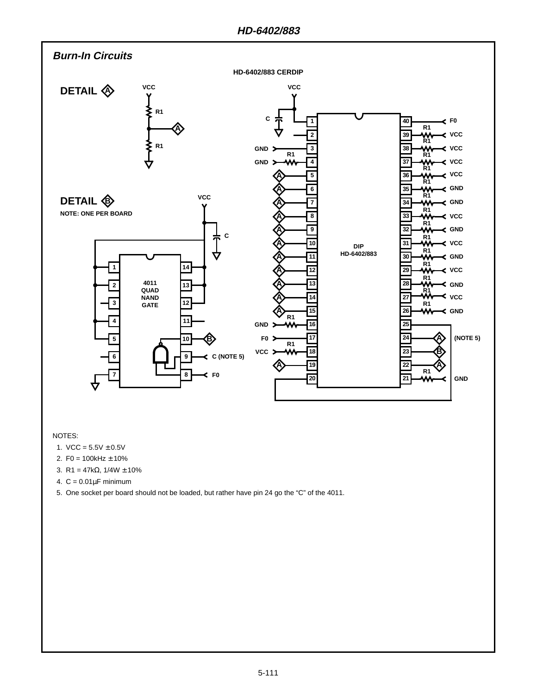